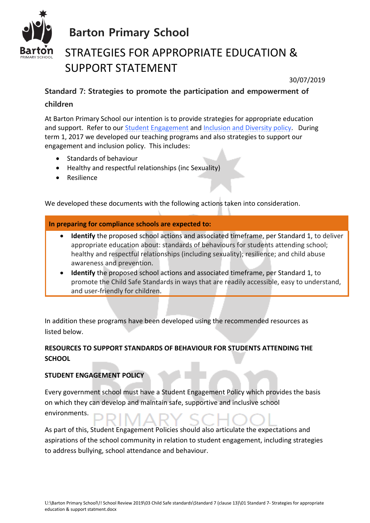

# STRATEGIES FOR APPROPRIATE EDUCATION & SUPPORT STATEMENT

30/07/2019

## **Standard 7: Strategies to promote the participation and empowerment of children**

At Barton Primary School our intention is to provide strategies for appropriate education and support. Refer to our [Student Engagement](../Standard%201%20(clause%207)/Standard%201%20-%20Student%20Engagement%20policy.docx) and [Inclusion and Diversity policy.](../../../../Policies/Inclusion%20and%20Diversity%20Policy%20BPS.docx) During term 1, 2017 we developed our teaching programs and also strategies to support our engagement and inclusion policy. This includes:

- Standards of behaviour
- Healthy and respectful relationships (inc Sexuality)
- Resilience

We developed these documents with the following actions taken into consideration.

#### **In preparing for compliance schools are expected to:**

- **Identify** the proposed school actions and associated timeframe, per Standard 1, to deliver appropriate education about: standards of behaviours for students attending school; healthy and respectful relationships (including sexuality); resilience; and child abuse awareness and prevention.
- **Identify** the proposed school actions and associated timeframe, per Standard 1, to promote the Child Safe Standards in ways that are readily accessible, easy to understand, and user-friendly for children.

In addition these programs have been developed using the recommended resources as listed below.

### **RESOURCES TO SUPPORT STANDARDS OF BEHAVIOUR FOR STUDENTS ATTENDING THE SCHOOL**

#### **STUDENT ENGAGEMENT POLICY**

Every government school must have a Student Engagement Policy which provides the basis on which they can develop and maintain safe, supportive and inclusive school environments.

As part of this, Student Engagement Policies should also articulate the expectations and aspirations of the school community in relation to student engagement, including strategies to address bullying, school attendance and behaviour.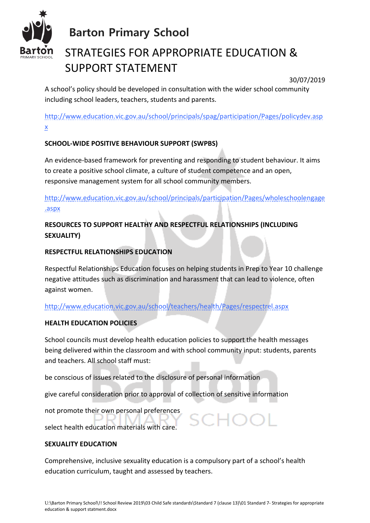

# STRATEGIES FOR APPROPRIATE EDUCATION & SUPPORT STATEMENT

30/07/2019

A school's policy should be developed in consultation with the wider school community including school leaders, teachers, students and parents.

[http://www.education.vic.gov.au/school/principals/spag/participation/Pages/policydev.asp](http://www.education.vic.gov.au/school/principals/spag/participation/Pages/policydev.aspx) [x](http://www.education.vic.gov.au/school/principals/spag/participation/Pages/policydev.aspx)

### **SCHOOL-WIDE POSITIVE BEHAVIOUR SUPPORT (SWPBS)**

An evidence-based framework for preventing and responding to student behaviour. It aims to create a positive school climate, a culture of student competence and an open, responsive management system for all school community members.

[http://www.education.vic.gov.au/school/principals/participation/Pages/wholeschoolengage](http://www.education.vic.gov.au/school/principals/participation/Pages/wholeschoolengage.aspx) [.aspx](http://www.education.vic.gov.au/school/principals/participation/Pages/wholeschoolengage.aspx) 

### **RESOURCES TO SUPPORT HEALTHY AND RESPECTFUL RELATIONSHIPS (INCLUDING SEXUALITY)**

### **RESPECTFUL RELATIONSHIPS EDUCATION**

Respectful Relationships Education focuses on helping students in Prep to Year 10 challenge negative attitudes such as discrimination and harassment that can lead to violence, often against women.

<http://www.education.vic.gov.au/school/teachers/health/Pages/respectrel.aspx>

### **HEALTH EDUCATION POLICIES**

School councils must develop health education policies to support the health messages being delivered within the classroom and with school community input: students, parents and teachers. All school staff must:

be conscious of issues related to the disclosure of personal information

give careful consideration prior to approval of collection of sensitive information

not promote their own personal preferences

select health education materials with care.

### **SEXUALITY EDUCATION**

Comprehensive, inclusive sexuality education is a compulsory part of a school's health education curriculum, taught and assessed by teachers.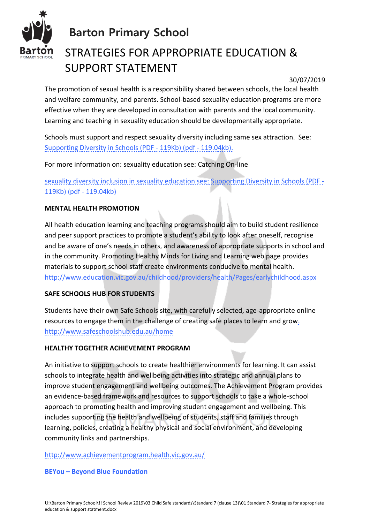

# STRATEGIES FOR APPROPRIATE EDUCATION & SUPPORT STATEMENT

30/07/2019

The promotion of sexual health is a responsibility shared between schools, the local health and welfare community, and parents. School-based sexuality education programs are more effective when they are developed in consultation with parents and the local community. Learning and teaching in sexuality education should be developmentally appropriate.

Schools must support and respect sexuality diversity including same sex attraction. See: [Supporting Diversity in Schools \(PDF -](http://www.education.vic.gov.au/Documents/school/principals/spag/curriculum/supportsexualdiversity.pdf) 119Kb) (pdf - 119.04kb).

For more information on: sexuality education see: [Catching On-line](http://www.education.vic.gov.au/school/teachers/teachingresources/social/physed/pages/sexualityed.aspx)

sexuality diversity inclusion in sexuality education see: [Supporting Diversity in Schools \(PDF -](http://www.education.vic.gov.au/Documents/school/principals/spag/curriculum/supportsexualdiversity.pdf) [119Kb\) \(pdf -](http://www.education.vic.gov.au/Documents/school/principals/spag/curriculum/supportsexualdiversity.pdf) 119.04kb)

### **MENTAL HEALTH PROMOTION**

All health education learning and teaching programs should aim to build student resilience and peer support practices to promote a student's ability to look after oneself, recognise and be aware of one's needs in others, and awareness of appropriate supports in school and in the community. Promoting Healthy Minds for Living and Learning web page provides materials to support school staff create environments conducive to mental health. http://www.education.vic.gov.au/childhood/providers/health/Pages/earlychildhood.aspx

### **SAFE SCHOOLS HUB FOR STUDENTS**

Students have their own Safe Schools site, with carefully selected, age-appropriate online resources to engage them in the challenge of creating safe places to learn and grow. <http://www.safeschoolshub.edu.au/home>

### **HEALTHY TOGETHER ACHIEVEMENT PROGRAM**

An initiative to support schools to create healthier environments for learning. It can assist schools to integrate health and wellbeing activities into strategic and annual plans to improve student engagement and wellbeing outcomes. The Achievement Program provides an evidence-based framework and resources to support schools to take a whole-school approach to promoting health and improving student engagement and wellbeing. This includes supporting the health and wellbeing of students, staff and families through learning, policies, creating a healthy physical and social environment, and developing community links and partnerships.

### <http://www.achievementprogram.health.vic.gov.au/>

### **BEYou – Beyond Blue Foundation**